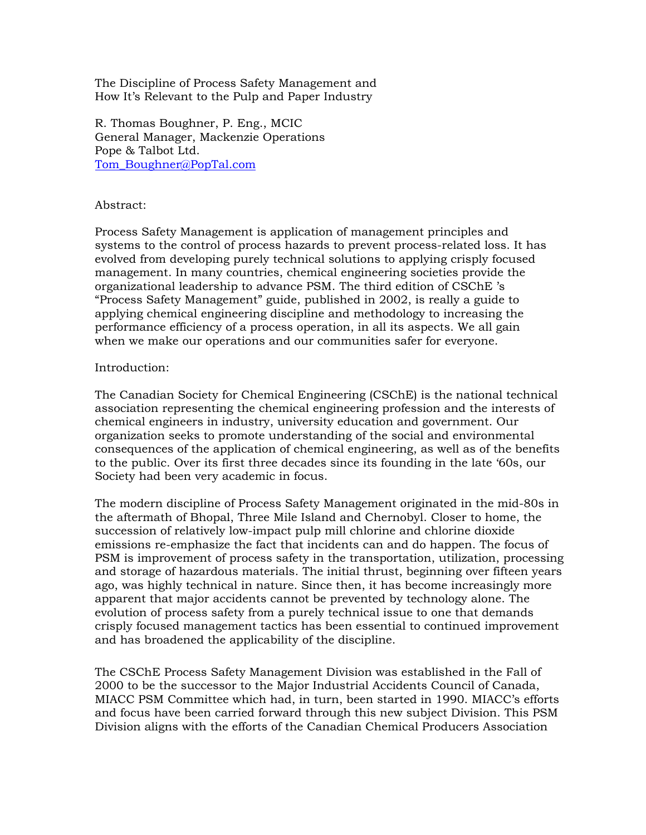The Discipline of Process Safety Management and How It's Relevant to the Pulp and Paper Industry

R. Thomas Boughner, P. Eng., MCIC General Manager, Mackenzie Operations Pope & Talbot Ltd. Tom Boughner@PopTal.com

## Abstract:

Process Safety Management is application of management principles and systems to the control of process hazards to prevent process-related loss. It has evolved from developing purely technical solutions to applying crisply focused management. In many countries, chemical engineering societies provide the organizational leadership to advance PSM. The third edition of CSChE 's "Process Safety Management" guide, published in 2002, is really a guide to applying chemical engineering discipline and methodology to increasing the performance efficiency of a process operation, in all its aspects. We all gain when we make our operations and our communities safer for everyone.

## Introduction:

The Canadian Society for Chemical Engineering (CSChE) is the national technical association representing the chemical engineering profession and the interests of chemical engineers in industry, university education and government. Our organization seeks to promote understanding of the social and environmental consequences of the application of chemical engineering, as well as of the benefits to the public. Over its first three decades since its founding in the late '60s, our Society had been very academic in focus.

The modern discipline of Process Safety Management originated in the mid-80s in the aftermath of Bhopal, Three Mile Island and Chernobyl. Closer to home, the succession of relatively low-impact pulp mill chlorine and chlorine dioxide emissions re-emphasize the fact that incidents can and do happen. The focus of PSM is improvement of process safety in the transportation, utilization, processing and storage of hazardous materials. The initial thrust, beginning over fifteen years ago, was highly technical in nature. Since then, it has become increasingly more apparent that major accidents cannot be prevented by technology alone. The evolution of process safety from a purely technical issue to one that demands crisply focused management tactics has been essential to continued improvement and has broadened the applicability of the discipline.

The CSChE Process Safety Management Division was established in the Fall of 2000 to be the successor to the Major Industrial Accidents Council of Canada, MIACC PSM Committee which had, in turn, been started in 1990. MIACC's efforts and focus have been carried forward through this new subject Division. This PSM Division aligns with the efforts of the Canadian Chemical Producers Association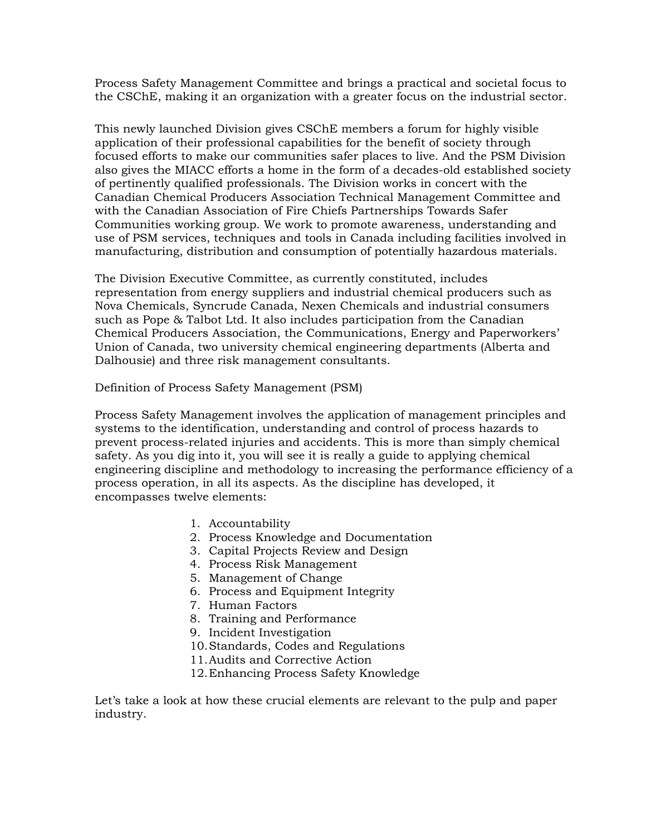Process Safety Management Committee and brings a practical and societal focus to the CSChE, making it an organization with a greater focus on the industrial sector.

This newly launched Division gives CSChE members a forum for highly visible application of their professional capabilities for the benefit of society through focused efforts to make our communities safer places to live. And the PSM Division also gives the MIACC efforts a home in the form of a decades-old established society of pertinently qualified professionals. The Division works in concert with the Canadian Chemical Producers Association Technical Management Committee and with the Canadian Association of Fire Chiefs Partnerships Towards Safer Communities working group. We work to promote awareness, understanding and use of PSM services, techniques and tools in Canada including facilities involved in manufacturing, distribution and consumption of potentially hazardous materials.

The Division Executive Committee, as currently constituted, includes representation from energy suppliers and industrial chemical producers such as Nova Chemicals, Syncrude Canada, Nexen Chemicals and industrial consumers such as Pope & Talbot Ltd. It also includes participation from the Canadian Chemical Producers Association, the Communications, Energy and Paperworkers' Union of Canada, two university chemical engineering departments (Alberta and Dalhousie) and three risk management consultants.

Definition of Process Safety Management (PSM)

Process Safety Management involves the application of management principles and systems to the identification, understanding and control of process hazards to prevent process-related injuries and accidents. This is more than simply chemical safety. As you dig into it, you will see it is really a guide to applying chemical engineering discipline and methodology to increasing the performance efficiency of a process operation, in all its aspects. As the discipline has developed, it encompasses twelve elements:

- 1. Accountability
- 2. Process Knowledge and Documentation
- 3. Capital Projects Review and Design
- 4. Process Risk Management
- 5. Management of Change
- 6. Process and Equipment Integrity
- 7. Human Factors
- 8. Training and Performance
- 9. Incident Investigation
- 10.Standards, Codes and Regulations
- 11.Audits and Corrective Action
- 12.Enhancing Process Safety Knowledge

Let's take a look at how these crucial elements are relevant to the pulp and paper industry.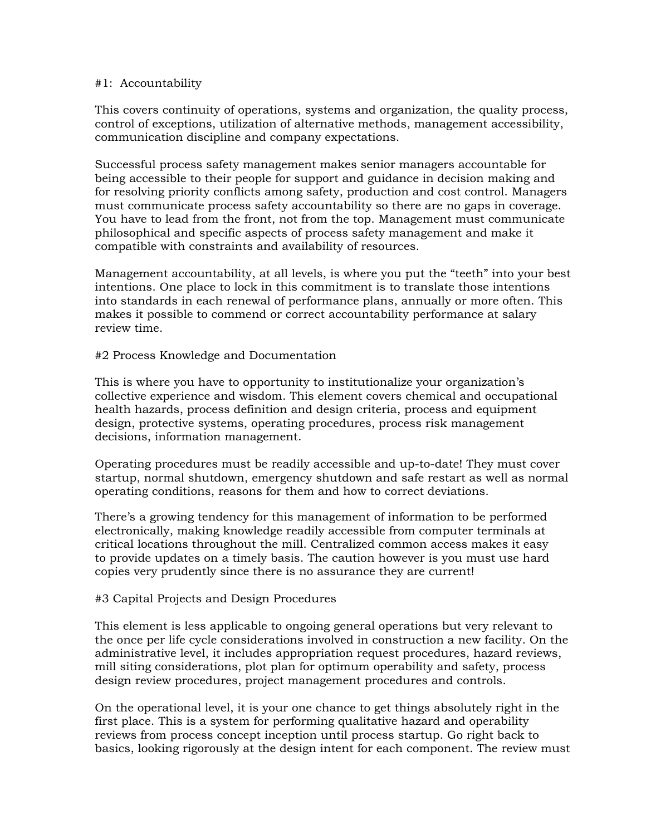#### #1: Accountability

This covers continuity of operations, systems and organization, the quality process, control of exceptions, utilization of alternative methods, management accessibility, communication discipline and company expectations.

Successful process safety management makes senior managers accountable for being accessible to their people for support and guidance in decision making and for resolving priority conflicts among safety, production and cost control. Managers must communicate process safety accountability so there are no gaps in coverage. You have to lead from the front, not from the top. Management must communicate philosophical and specific aspects of process safety management and make it compatible with constraints and availability of resources.

Management accountability, at all levels, is where you put the "teeth" into your best intentions. One place to lock in this commitment is to translate those intentions into standards in each renewal of performance plans, annually or more often. This makes it possible to commend or correct accountability performance at salary review time.

### #2 Process Knowledge and Documentation

This is where you have to opportunity to institutionalize your organization's collective experience and wisdom. This element covers chemical and occupational health hazards, process definition and design criteria, process and equipment design, protective systems, operating procedures, process risk management decisions, information management.

Operating procedures must be readily accessible and up-to-date! They must cover startup, normal shutdown, emergency shutdown and safe restart as well as normal operating conditions, reasons for them and how to correct deviations.

There's a growing tendency for this management of information to be performed electronically, making knowledge readily accessible from computer terminals at critical locations throughout the mill. Centralized common access makes it easy to provide updates on a timely basis. The caution however is you must use hard copies very prudently since there is no assurance they are current!

### #3 Capital Projects and Design Procedures

This element is less applicable to ongoing general operations but very relevant to the once per life cycle considerations involved in construction a new facility. On the administrative level, it includes appropriation request procedures, hazard reviews, mill siting considerations, plot plan for optimum operability and safety, process design review procedures, project management procedures and controls.

On the operational level, it is your one chance to get things absolutely right in the first place. This is a system for performing qualitative hazard and operability reviews from process concept inception until process startup. Go right back to basics, looking rigorously at the design intent for each component. The review must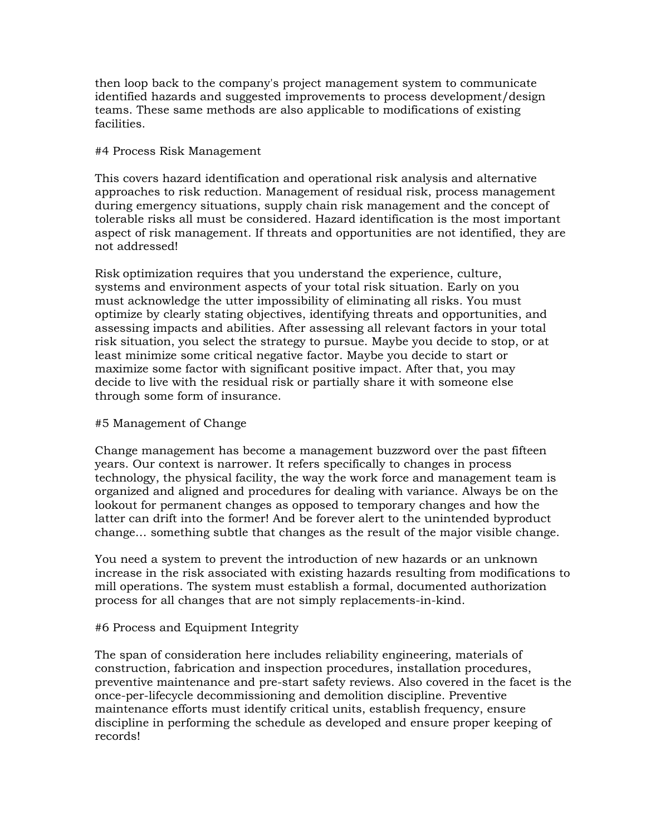then loop back to the company's project management system to communicate identified hazards and suggested improvements to process development/design teams. These same methods are also applicable to modifications of existing facilities.

### #4 Process Risk Management

This covers hazard identification and operational risk analysis and alternative approaches to risk reduction. Management of residual risk, process management during emergency situations, supply chain risk management and the concept of tolerable risks all must be considered. Hazard identification is the most important aspect of risk management. If threats and opportunities are not identified, they are not addressed!

Risk optimization requires that you understand the experience, culture, systems and environment aspects of your total risk situation. Early on you must acknowledge the utter impossibility of eliminating all risks. You must optimize by clearly stating objectives, identifying threats and opportunities, and assessing impacts and abilities. After assessing all relevant factors in your total risk situation, you select the strategy to pursue. Maybe you decide to stop, or at least minimize some critical negative factor. Maybe you decide to start or maximize some factor with significant positive impact. After that, you may decide to live with the residual risk or partially share it with someone else through some form of insurance.

## #5 Management of Change

Change management has become a management buzzword over the past fifteen years. Our context is narrower. It refers specifically to changes in process technology, the physical facility, the way the work force and management team is organized and aligned and procedures for dealing with variance. Always be on the lookout for permanent changes as opposed to temporary changes and how the latter can drift into the former! And be forever alert to the unintended byproduct change… something subtle that changes as the result of the major visible change.

You need a system to prevent the introduction of new hazards or an unknown increase in the risk associated with existing hazards resulting from modifications to mill operations. The system must establish a formal, documented authorization process for all changes that are not simply replacements-in-kind.

# #6 Process and Equipment Integrity

The span of consideration here includes reliability engineering, materials of construction, fabrication and inspection procedures, installation procedures, preventive maintenance and pre-start safety reviews. Also covered in the facet is the once-per-lifecycle decommissioning and demolition discipline. Preventive maintenance efforts must identify critical units, establish frequency, ensure discipline in performing the schedule as developed and ensure proper keeping of records!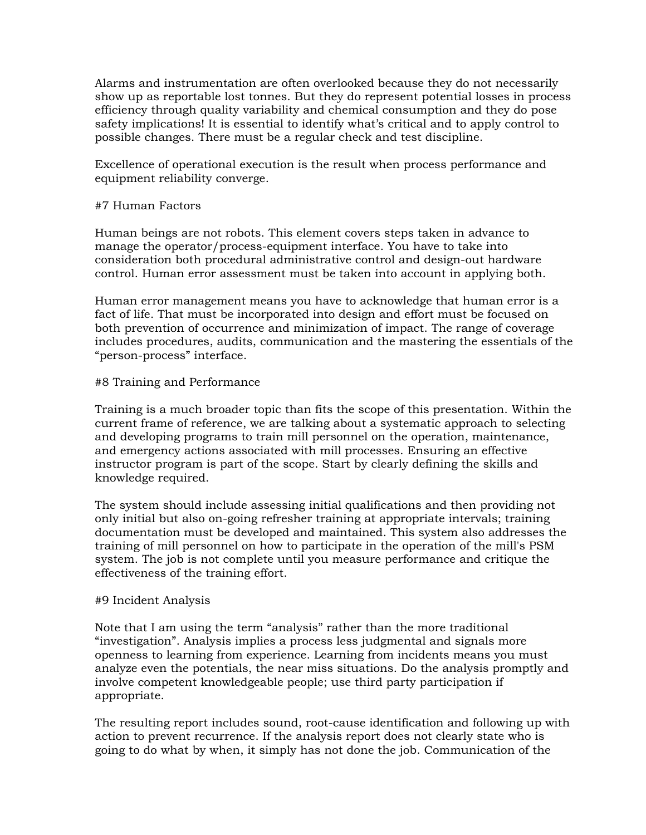Alarms and instrumentation are often overlooked because they do not necessarily show up as reportable lost tonnes. But they do represent potential losses in process efficiency through quality variability and chemical consumption and they do pose safety implications! It is essential to identify what's critical and to apply control to possible changes. There must be a regular check and test discipline.

Excellence of operational execution is the result when process performance and equipment reliability converge.

## #7 Human Factors

Human beings are not robots. This element covers steps taken in advance to manage the operator/process-equipment interface. You have to take into consideration both procedural administrative control and design-out hardware control. Human error assessment must be taken into account in applying both.

Human error management means you have to acknowledge that human error is a fact of life. That must be incorporated into design and effort must be focused on both prevention of occurrence and minimization of impact. The range of coverage includes procedures, audits, communication and the mastering the essentials of the "person-process" interface.

## #8 Training and Performance

Training is a much broader topic than fits the scope of this presentation. Within the current frame of reference, we are talking about a systematic approach to selecting and developing programs to train mill personnel on the operation, maintenance, and emergency actions associated with mill processes. Ensuring an effective instructor program is part of the scope. Start by clearly defining the skills and knowledge required.

The system should include assessing initial qualifications and then providing not only initial but also on-going refresher training at appropriate intervals; training documentation must be developed and maintained. This system also addresses the training of mill personnel on how to participate in the operation of the mill's PSM system. The job is not complete until you measure performance and critique the effectiveness of the training effort.

### #9 Incident Analysis

Note that I am using the term "analysis" rather than the more traditional "investigation". Analysis implies a process less judgmental and signals more openness to learning from experience. Learning from incidents means you must analyze even the potentials, the near miss situations. Do the analysis promptly and involve competent knowledgeable people; use third party participation if appropriate.

The resulting report includes sound, root-cause identification and following up with action to prevent recurrence. If the analysis report does not clearly state who is going to do what by when, it simply has not done the job. Communication of the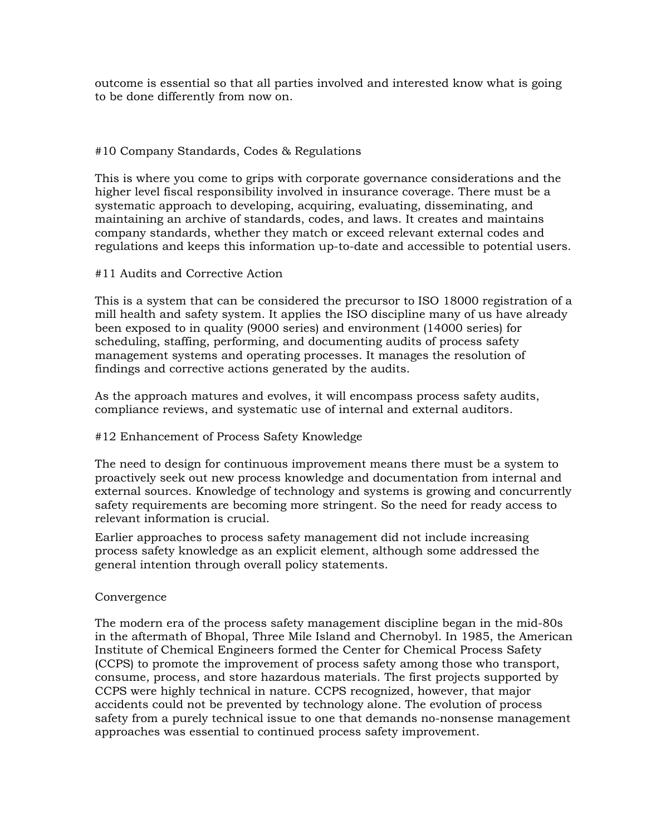outcome is essential so that all parties involved and interested know what is going to be done differently from now on.

# #10 Company Standards, Codes & Regulations

This is where you come to grips with corporate governance considerations and the higher level fiscal responsibility involved in insurance coverage. There must be a systematic approach to developing, acquiring, evaluating, disseminating, and maintaining an archive of standards, codes, and laws. It creates and maintains company standards, whether they match or exceed relevant external codes and regulations and keeps this information up-to-date and accessible to potential users.

### #11 Audits and Corrective Action

This is a system that can be considered the precursor to ISO 18000 registration of a mill health and safety system. It applies the ISO discipline many of us have already been exposed to in quality (9000 series) and environment (14000 series) for scheduling, staffing, performing, and documenting audits of process safety management systems and operating processes. It manages the resolution of findings and corrective actions generated by the audits.

As the approach matures and evolves, it will encompass process safety audits, compliance reviews, and systematic use of internal and external auditors.

### #12 Enhancement of Process Safety Knowledge

The need to design for continuous improvement means there must be a system to proactively seek out new process knowledge and documentation from internal and external sources. Knowledge of technology and systems is growing and concurrently safety requirements are becoming more stringent. So the need for ready access to relevant information is crucial.

Earlier approaches to process safety management did not include increasing process safety knowledge as an explicit element, although some addressed the general intention through overall policy statements.

### Convergence

The modern era of the process safety management discipline began in the mid-80s in the aftermath of Bhopal, Three Mile Island and Chernobyl. In 1985, the American Institute of Chemical Engineers formed the Center for Chemical Process Safety (CCPS) to promote the improvement of process safety among those who transport, consume, process, and store hazardous materials. The first projects supported by CCPS were highly technical in nature. CCPS recognized, however, that major accidents could not be prevented by technology alone. The evolution of process safety from a purely technical issue to one that demands no-nonsense management approaches was essential to continued process safety improvement.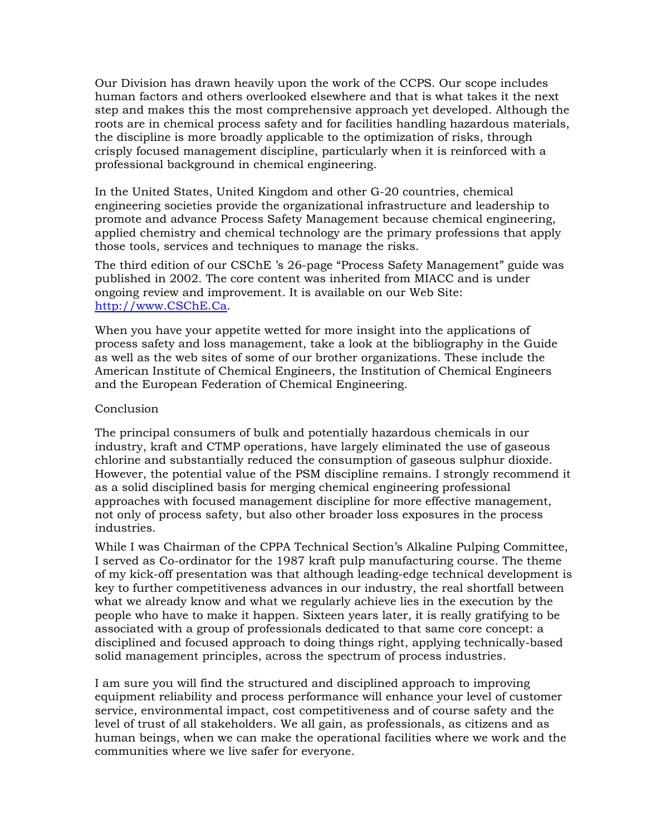Our Division has drawn heavily upon the work of the CCPS. Our scope includes human factors and others overlooked elsewhere and that is what takes it the next step and makes this the most comprehensive approach yet developed. Although the roots are in chemical process safety and for facilities handling hazardous materials, the discipline is more broadly applicable to the optimization of risks, through crisply focused management discipline, particularly when it is reinforced with a professional background in chemical engineering.

In the United States, United Kingdom and other G-20 countries, chemical engineering societies provide the organizational infrastructure and leadership to promote and advance Process Safety Management because chemical engineering, applied chemistry and chemical technology are the primary professions that apply those tools, services and techniques to manage the risks.

The third edition of our CSChE 's 26-page "Process Safety Management" guide was published in 2002. The core content was inherited from MIACC and is under ongoing review and improvement. It is available on our Web Site: http://www.CSChE.Ca.

When you have your appetite wetted for more insight into the applications of process safety and loss management, take a look at the bibliography in the Guide as well as the web sites of some of our brother organizations. These include the American Institute of Chemical Engineers, the Institution of Chemical Engineers and the European Federation of Chemical Engineering.

## Conclusion

The principal consumers of bulk and potentially hazardous chemicals in our industry, kraft and CTMP operations, have largely eliminated the use of gaseous chlorine and substantially reduced the consumption of gaseous sulphur dioxide. However, the potential value of the PSM discipline remains. I strongly recommend it as a solid disciplined basis for merging chemical engineering professional approaches with focused management discipline for more effective management, not only of process safety, but also other broader loss exposures in the process industries.

While I was Chairman of the CPPA Technical Section's Alkaline Pulping Committee, I served as Co-ordinator for the 1987 kraft pulp manufacturing course. The theme of my kick-off presentation was that although leading-edge technical development is key to further competitiveness advances in our industry, the real shortfall between what we already know and what we regularly achieve lies in the execution by the people who have to make it happen. Sixteen years later, it is really gratifying to be associated with a group of professionals dedicated to that same core concept: a disciplined and focused approach to doing things right, applying technically-based solid management principles, across the spectrum of process industries.

I am sure you will find the structured and disciplined approach to improving equipment reliability and process performance will enhance your level of customer service, environmental impact, cost competitiveness and of course safety and the level of trust of all stakeholders. We all gain, as professionals, as citizens and as human beings, when we can make the operational facilities where we work and the communities where we live safer for everyone.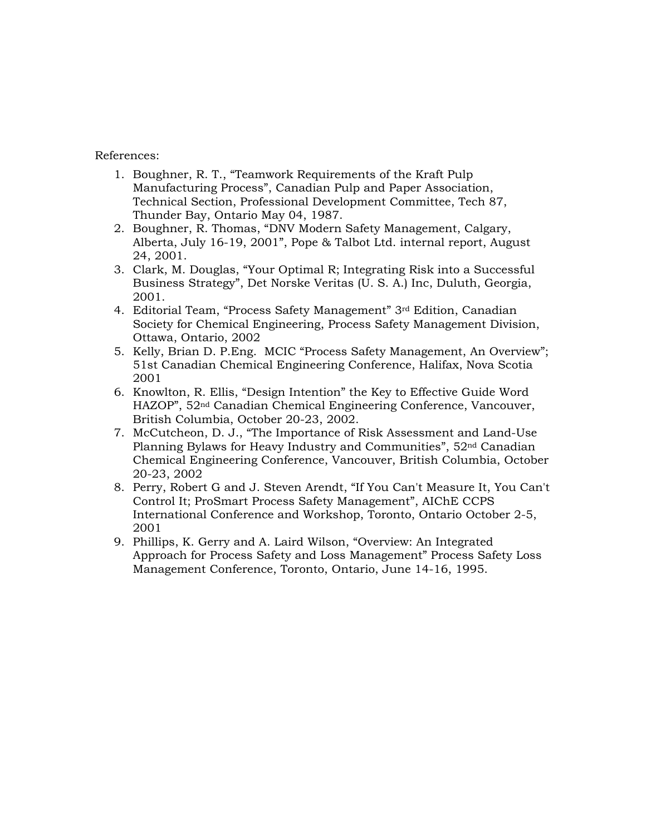### References:

- 1. Boughner, R. T., "Teamwork Requirements of the Kraft Pulp Manufacturing Process", Canadian Pulp and Paper Association, Technical Section, Professional Development Committee, Tech 87, Thunder Bay, Ontario May 04, 1987.
- 2. Boughner, R. Thomas, "DNV Modern Safety Management, Calgary, Alberta, July 16-19, 2001", Pope & Talbot Ltd. internal report, August 24, 2001.
- 3. Clark, M. Douglas, "Your Optimal R; Integrating Risk into a Successful Business Strategy", Det Norske Veritas (U. S. A.) Inc, Duluth, Georgia, 2001.
- 4. Editorial Team, "Process Safety Management" 3rd Edition, Canadian Society for Chemical Engineering, Process Safety Management Division, Ottawa, Ontario, 2002
- 5. Kelly, Brian D. P.Eng. MCIC "Process Safety Management, An Overview"; 51st Canadian Chemical Engineering Conference, Halifax, Nova Scotia 2001
- 6. Knowlton, R. Ellis, "Design Intention" the Key to Effective Guide Word HAZOP", 52nd Canadian Chemical Engineering Conference, Vancouver, British Columbia, October 20-23, 2002.
- 7. McCutcheon, D. J., "The Importance of Risk Assessment and Land-Use Planning Bylaws for Heavy Industry and Communities", 52nd Canadian Chemical Engineering Conference, Vancouver, British Columbia, October 20-23, 2002
- 8. Perry, Robert G and J. Steven Arendt, "If You Can't Measure It, You Can't Control It; ProSmart Process Safety Management", AIChE CCPS International Conference and Workshop, Toronto, Ontario October 2-5, 2001
- 9. Phillips, K. Gerry and A. Laird Wilson, "Overview: An Integrated Approach for Process Safety and Loss Management" Process Safety Loss Management Conference, Toronto, Ontario, June 14-16, 1995.